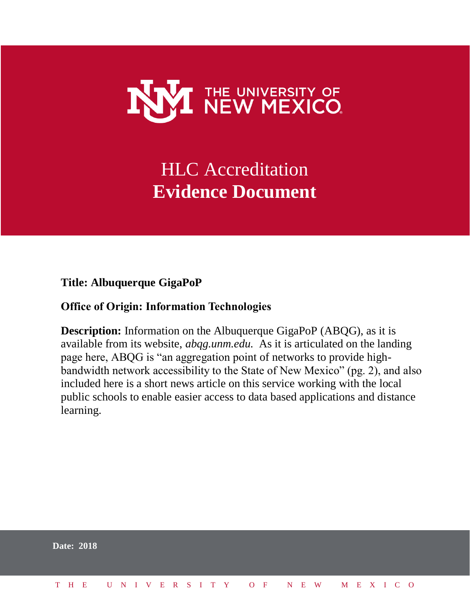

## HLC Accreditation **Evidence Document**

## **Title: Albuquerque GigaPoP**

## **Office of Origin: Information Technologies**

**Description:** Information on the Albuquerque GigaPoP (ABQG), as it is available from its website, *abqg.unm.edu.* As it is articulated on the landing page here, ABQG is "an aggregation point of networks to provide highbandwidth network accessibility to the State of New Mexico" (pg. 2), and also included here is a short news article on this service working with the local public schools to enable easier access to data based applications and distance learning.

| <b>Date: 2018</b> |  |  |  |  |  |  |  |  |                          |  |  |  |  |
|-------------------|--|--|--|--|--|--|--|--|--------------------------|--|--|--|--|
| T H E             |  |  |  |  |  |  |  |  | UNIVERSITY OF NEW MEXICO |  |  |  |  |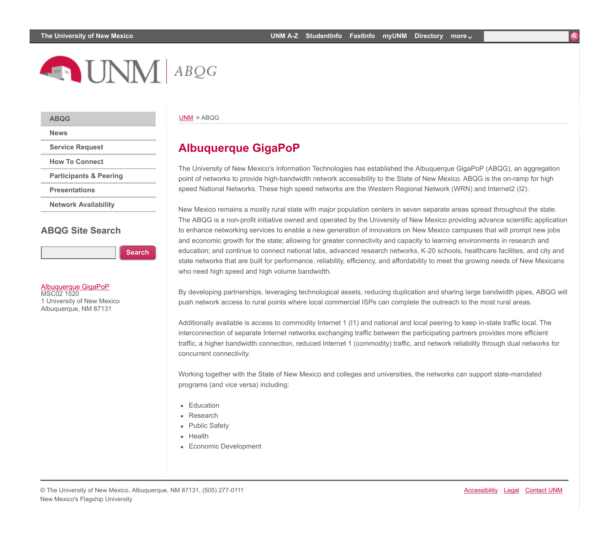

#### **[ABQG](https://abqg.unm.edu/index.html)**

**[News](https://abqg.unm.edu/news/index.html)**

**[Service Request](https://abqg.unm.edu/contact/index.html)**

**[How To Connect](https://abqg.unm.edu/services/index.html)**

**[Participants & Peering](https://abqg.unm.edu/participants/index.html)**

**[Presentations](https://abqg.unm.edu/presentations/index.html)**

**[Network Availability](https://abqg.unm.edu/network-availability.html)**

#### **ABQG Site Search**

**Search**

#### [Albuquerque GigaPoP](http://abqg.unm.edu/) MSC02 1520 1 University of New Mexico Albuquerque, NM 87131

#### [UNM](http://www.unm.edu/) > ABQG

## **Albuquerque GigaPoP**

The University of New Mexico's Information Technologies has established the Albuquerque GigaPoP (ABQG), an aggregation point of networks to provide high-bandwidth network accessibility to the State of New Mexico. ABQG is the on-ramp for high speed National Networks. These high speed networks are the Western Regional Network (WRN) and Internet2 (I2).

New Mexico remains a mostly rural state with major population centers in seven separate areas spread throughout the state. The ABQG is a non-profit initiative owned and operated by the University of New Mexico providing advance scientific application to enhance networking services to enable a new generation of innovators on New Mexico campuses that will prompt new jobs and economic growth for the state; allowing for greater connectivity and capacity to learning environments in research and education; and continue to connect national labs, advanced research networks, K-20 schools, healthcare facilities, and city and state networks that are built for performance, reliability, efficiency, and affordability to meet the growing needs of New Mexicans who need high speed and high volume bandwidth.

By developing partnerships, leveraging technological assets, reducing duplication and sharing large bandwidth pipes, ABQG will push network access to rural points where local commercial ISPs can complete the outreach to the most rural areas.

Additionally available is access to commodity Internet 1 (I1) and national and local peering to keep in-state traffic local. The interconnection of separate Internet networks exchanging traffic between the participating partners provides more efficient traffic, a higher bandwidth connection, reduced Internet 1 (commodity) traffic, and network reliability through dual networks for concurrent connectivity.

Working together with the State of New Mexico and colleges and universities, the networks can support state-mandated programs (and vice versa) including:

- Education
- Research
- Public Safety
- Health
- Economic Development